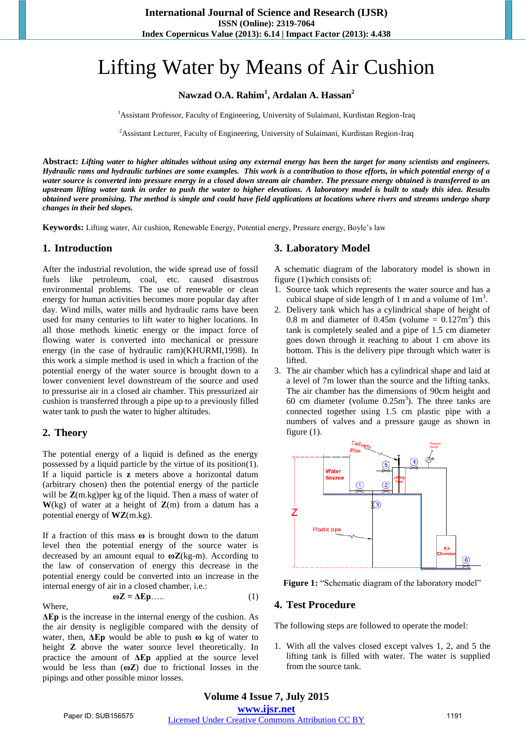# Lifting Water by Means of Air Cushion

**Nawzad O.A. Rahim<sup>1</sup> , Ardalan A. Hassan<sup>2</sup>**

<sup>1</sup> Assistant Professor, Faculty of Engineering, University of Sulaimani, Kurdistan Region-Iraq

<sup>2</sup> Assistant Lecturer, Faculty of Engineering, University of Sulaimani, Kurdistan Region-Iraq

**Abstract:** *Lifting water to higher altitudes without using any external energy has been the target for many scientists and engineers. Hydraulic rams and hydraulic turbines are some examples. This work is a contribution to those efforts, in which potential energy of a water source is converted into pressure energy in a closed down stream air chamber. The pressure energy obtained is transferred to an upstream lifting water tank in order to push the water to higher elevations. A laboratory model is built to study this idea. Results obtained were promising. The method is simple and could have field applications at locations where rivers and streams undergo sharp changes in their bed slopes.* 

**Keywords:** Lifting water, Air cushion, Renewable Energy, Potential energy, Pressure energy, Boyle's law

#### **1. Introduction**

After the industrial revolution, the wide spread use of fossil fuels like petroleum, coal, etc. caused disastrous environmental problems. The use of renewable or clean energy for human activities becomes more popular day after day. Wind mills, water mills and hydraulic rams have been used for many centuries to lift water to higher locations. In all those methods kinetic energy or the impact force of flowing water is converted into mechanical or pressure energy (in the case of hydraulic ram)(KHURMI,1998). In this work a simple method is used in which a fraction of the potential energy of the water source is brought down to a lower convenient level downstream of the source and used to pressurise air in a closed air chamber. This pressurized air cushion is transferred through a pipe up to a previously filled water tank to push the water to higher altitudes.

#### **2. Theory**

The potential energy of a liquid is defined as the energy possessed by a liquid particle by the virtue of its position(1). If a liquid particle is **z** meters above a horizontal datum (arbitrary chosen) then the potential energy of the particle will be **Z**(m.kg)per kg of the liquid. Then a mass of water of  $W$ (kg) of water at a height of  $Z(m)$  from a datum has a potential energy of **WZ**(m.kg).

If a fraction of this mass **ω** is brought down to the datum level then the potential energy of the source water is decreased by an amount equal to **ωZ**(kg-m). According to the law of conservation of energy this decrease in the potential energy could be converted into an increase in the internal energy of air in a closed chamber, i.e.:

$$
\omega Z = \Delta E p \dots \tag{1}
$$

**Where** 

**ΔEp** is the increase in the internal energy of the cushion. As the air density is negligible compared with the density of water, then, **ΔEp** would be able to push **ω** kg of water to height **Z** above the water source level theoretically. In practice the amount of **ΔEp** applied at the source level would be less than (**ωZ**) due to frictional losses in the pipings and other possible minor losses.

### **3. Laboratory Model**

A schematic diagram of the laboratory model is shown in figure (1)which consists of:

- 1. Source tank which represents the water source and has a cubical shape of side length of 1 m and a volume of  $1m<sup>3</sup>$ .
- 2. Delivery tank which has a cylindrical shape of height of 0.8 m and diameter of 0.45m (volume =  $0.127 \text{m}^3$ ) this tank is completely sealed and a pipe of 1.5 cm diameter goes down through it reaching to about 1 cm above its bottom. This is the delivery pipe through which water is lifted.
- 3. The air chamber which has a cylindrical shape and laid at a level of 7m lower than the source and the lifting tanks. The air chamber has the dimensions of 90cm height and 60 cm diameter (volume  $0.25m<sup>3</sup>$ ). The three tanks are connected together using 1.5 cm plastic pipe with a numbers of valves and a pressure gauge as shown in figure (1).



**Figure 1:** "Schematic diagram of the laboratory model"

#### **4. Test Procedure**

The following steps are followed to operate the model:

1. With all the valves closed except valves 1, 2, and 5 the lifting tank is filled with water. The water is supplied from the source tank.